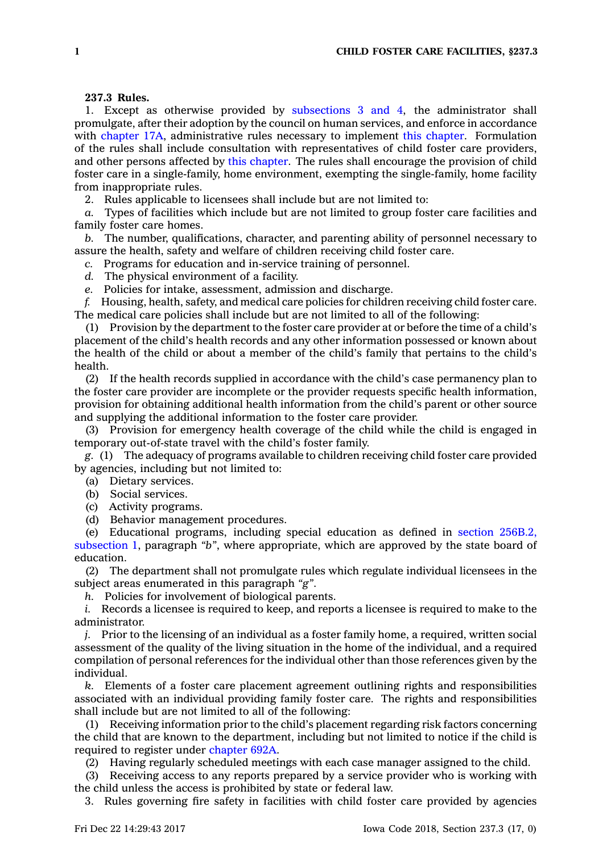## **237.3 Rules.**

1. Except as otherwise provided by [subsections](https://www.legis.iowa.gov/docs/code/237.3.pdf) 3 and 4, the administrator shall promulgate, after their adoption by the council on human services, and enforce in accordance with [chapter](https://www.legis.iowa.gov/docs/code//17A.pdf) 17A, administrative rules necessary to implement this [chapter](https://www.legis.iowa.gov/docs/code//237.pdf). Formulation of the rules shall include consultation with representatives of child foster care providers, and other persons affected by this [chapter](https://www.legis.iowa.gov/docs/code//237.pdf). The rules shall encourage the provision of child foster care in <sup>a</sup> single-family, home environment, exempting the single-family, home facility from inappropriate rules.

2. Rules applicable to licensees shall include but are not limited to:

*a.* Types of facilities which include but are not limited to group foster care facilities and family foster care homes.

*b.* The number, qualifications, character, and parenting ability of personnel necessary to assure the health, safety and welfare of children receiving child foster care.

*c.* Programs for education and in-service training of personnel.

*d.* The physical environment of <sup>a</sup> facility.

*e.* Policies for intake, assessment, admission and discharge.

*f.* Housing, health, safety, and medical care policies for children receiving child foster care. The medical care policies shall include but are not limited to all of the following:

(1) Provision by the department to the foster care provider at or before the time of <sup>a</sup> child's placement of the child's health records and any other information possessed or known about the health of the child or about <sup>a</sup> member of the child's family that pertains to the child's health.

(2) If the health records supplied in accordance with the child's case permanency plan to the foster care provider are incomplete or the provider requests specific health information, provision for obtaining additional health information from the child's parent or other source and supplying the additional information to the foster care provider.

(3) Provision for emergency health coverage of the child while the child is engaged in temporary out-of-state travel with the child's foster family.

*g.* (1) The adequacy of programs available to children receiving child foster care provided by agencies, including but not limited to:

(a) Dietary services.

(b) Social services.

(c) Activity programs.

(d) Behavior management procedures.

(e) Educational programs, including special education as defined in section [256B.2,](https://www.legis.iowa.gov/docs/code/256B.2.pdf) [subsection](https://www.legis.iowa.gov/docs/code/256B.2.pdf) 1, paragraph *"b"*, where appropriate, which are approved by the state board of education.

(2) The department shall not promulgate rules which regulate individual licensees in the subject areas enumerated in this paragraph *"g"*.

*h.* Policies for involvement of biological parents.

*i.* Records <sup>a</sup> licensee is required to keep, and reports <sup>a</sup> licensee is required to make to the administrator.

*j.* Prior to the licensing of an individual as <sup>a</sup> foster family home, <sup>a</sup> required, written social assessment of the quality of the living situation in the home of the individual, and <sup>a</sup> required compilation of personal references for the individual other than those references given by the individual.

*k.* Elements of <sup>a</sup> foster care placement agreement outlining rights and responsibilities associated with an individual providing family foster care. The rights and responsibilities shall include but are not limited to all of the following:

(1) Receiving information prior to the child's placement regarding risk factors concerning the child that are known to the department, including but not limited to notice if the child is required to register under [chapter](https://www.legis.iowa.gov/docs/code//692A.pdf) 692A.

(2) Having regularly scheduled meetings with each case manager assigned to the child.

(3) Receiving access to any reports prepared by <sup>a</sup> service provider who is working with the child unless the access is prohibited by state or federal law.

3. Rules governing fire safety in facilities with child foster care provided by agencies